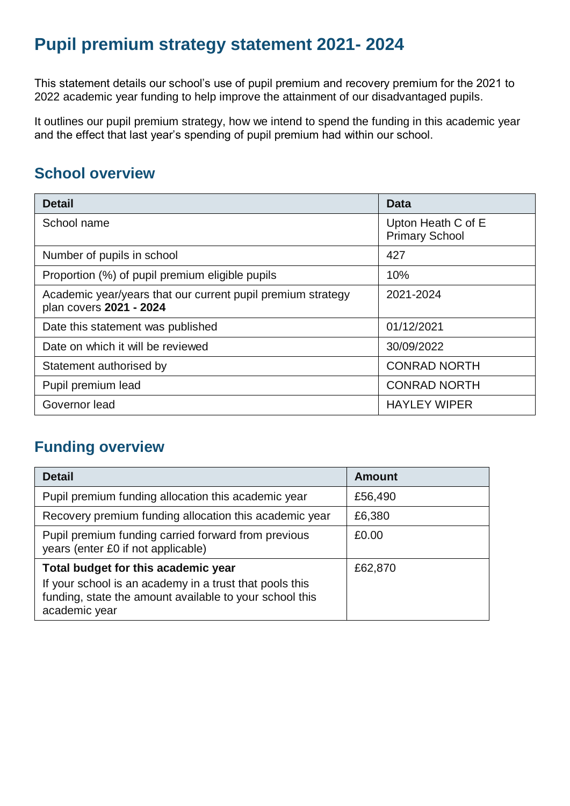# **Pupil premium strategy statement 2021- 2024**

This statement details our school's use of pupil premium and recovery premium for the 2021 to 2022 academic year funding to help improve the attainment of our disadvantaged pupils.

It outlines our pupil premium strategy, how we intend to spend the funding in this academic year and the effect that last year's spending of pupil premium had within our school.

# **School overview**

| <b>Detail</b>                                                                          | Data                                        |
|----------------------------------------------------------------------------------------|---------------------------------------------|
| School name                                                                            | Upton Heath C of E<br><b>Primary School</b> |
| Number of pupils in school                                                             | 427                                         |
| Proportion (%) of pupil premium eligible pupils                                        | 10%                                         |
| Academic year/years that our current pupil premium strategy<br>plan covers 2021 - 2024 | 2021-2024                                   |
| Date this statement was published                                                      | 01/12/2021                                  |
| Date on which it will be reviewed                                                      | 30/09/2022                                  |
| Statement authorised by                                                                | <b>CONRAD NORTH</b>                         |
| Pupil premium lead                                                                     | <b>CONRAD NORTH</b>                         |
| Governor lead                                                                          | <b>HAYLEY WIPER</b>                         |

# **Funding overview**

| <b>Detail</b>                                                                                                                       | <b>Amount</b> |
|-------------------------------------------------------------------------------------------------------------------------------------|---------------|
| Pupil premium funding allocation this academic year                                                                                 | £56,490       |
| Recovery premium funding allocation this academic year                                                                              | £6,380        |
| Pupil premium funding carried forward from previous<br>years (enter £0 if not applicable)                                           | £0.00         |
| Total budget for this academic year                                                                                                 | £62,870       |
| If your school is an academy in a trust that pools this<br>funding, state the amount available to your school this<br>academic year |               |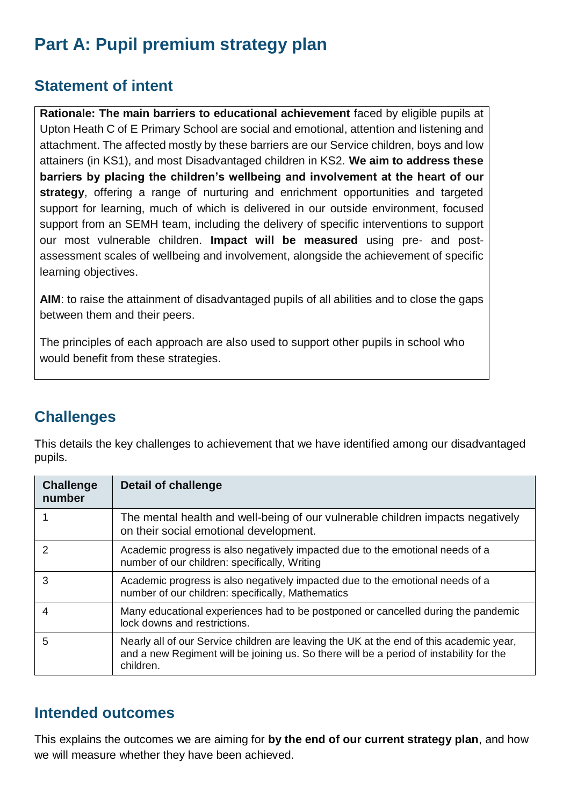# **Part A: Pupil premium strategy plan**

# **Statement of intent**

**Rationale: The main barriers to educational achievement** faced by eligible pupils at Upton Heath C of E Primary School are social and emotional, attention and listening and attachment. The affected mostly by these barriers are our Service children, boys and low attainers (in KS1), and most Disadvantaged children in KS2. **We aim to address these barriers by placing the children's wellbeing and involvement at the heart of our strategy**, offering a range of nurturing and enrichment opportunities and targeted support for learning, much of which is delivered in our outside environment, focused support from an SEMH team, including the delivery of specific interventions to support our most vulnerable children. **Impact will be measured** using pre- and postassessment scales of wellbeing and involvement, alongside the achievement of specific learning objectives.

**AIM**: to raise the attainment of disadvantaged pupils of all abilities and to close the gaps between them and their peers.

The principles of each approach are also used to support other pupils in school who would benefit from these strategies.

# **Challenges**

This details the key challenges to achievement that we have identified among our disadvantaged pupils.

| <b>Challenge</b><br>number | Detail of challenge                                                                                                                                                                             |
|----------------------------|-------------------------------------------------------------------------------------------------------------------------------------------------------------------------------------------------|
|                            | The mental health and well-being of our vulnerable children impacts negatively<br>on their social emotional development.                                                                        |
| 2                          | Academic progress is also negatively impacted due to the emotional needs of a<br>number of our children: specifically, Writing                                                                  |
| 3                          | Academic progress is also negatively impacted due to the emotional needs of a<br>number of our children: specifically, Mathematics                                                              |
| 4                          | Many educational experiences had to be postponed or cancelled during the pandemic<br>lock downs and restrictions.                                                                               |
| 5                          | Nearly all of our Service children are leaving the UK at the end of this academic year,<br>and a new Regiment will be joining us. So there will be a period of instability for the<br>children. |

### **Intended outcomes**

This explains the outcomes we are aiming for **by the end of our current strategy plan**, and how we will measure whether they have been achieved.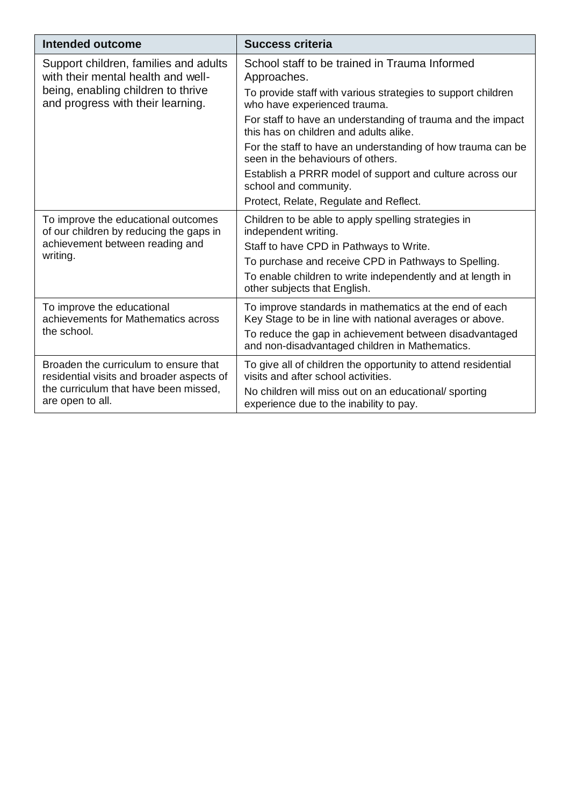| Intended outcome                                                                   | <b>Success criteria</b>                                                                                            |
|------------------------------------------------------------------------------------|--------------------------------------------------------------------------------------------------------------------|
| Support children, families and adults<br>with their mental health and well-        | School staff to be trained in Trauma Informed<br>Approaches.                                                       |
| being, enabling children to thrive<br>and progress with their learning.            | To provide staff with various strategies to support children<br>who have experienced trauma.                       |
|                                                                                    | For staff to have an understanding of trauma and the impact<br>this has on children and adults alike.              |
|                                                                                    | For the staff to have an understanding of how trauma can be<br>seen in the behaviours of others.                   |
|                                                                                    | Establish a PRRR model of support and culture across our<br>school and community.                                  |
|                                                                                    | Protect, Relate, Regulate and Reflect.                                                                             |
| To improve the educational outcomes<br>of our children by reducing the gaps in     | Children to be able to apply spelling strategies in<br>independent writing.                                        |
| achievement between reading and                                                    | Staff to have CPD in Pathways to Write.                                                                            |
| writing.                                                                           | To purchase and receive CPD in Pathways to Spelling.                                                               |
|                                                                                    | To enable children to write independently and at length in<br>other subjects that English.                         |
| To improve the educational<br>achievements for Mathematics across                  | To improve standards in mathematics at the end of each<br>Key Stage to be in line with national averages or above. |
| the school.                                                                        | To reduce the gap in achievement between disadvantaged<br>and non-disadvantaged children in Mathematics.           |
| Broaden the curriculum to ensure that<br>residential visits and broader aspects of | To give all of children the opportunity to attend residential<br>visits and after school activities.               |
| the curriculum that have been missed,<br>are open to all.                          | No children will miss out on an educational/sporting<br>experience due to the inability to pay.                    |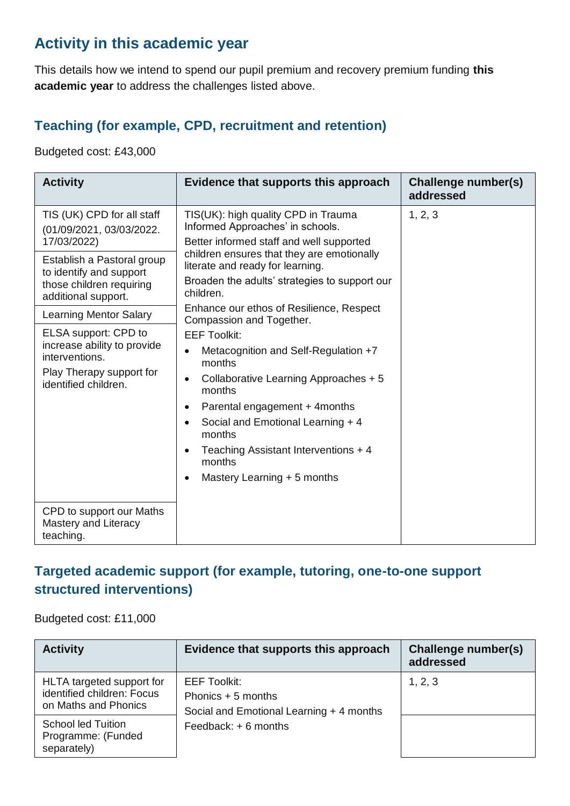# **Activity in this academic year**

This details how we intend to spend our pupil premium and recovery premium funding **this academic year** to address the challenges listed above.

#### **Teaching (for example, CPD, recruitment and retention)**

Budgeted cost: £43,000

| <b>Activity</b>                                                                                                           | Evidence that supports this approach                                                                                                                                                                                                                                                                                                                                     | <b>Challenge number(s)</b><br>addressed |
|---------------------------------------------------------------------------------------------------------------------------|--------------------------------------------------------------------------------------------------------------------------------------------------------------------------------------------------------------------------------------------------------------------------------------------------------------------------------------------------------------------------|-----------------------------------------|
| TIS (UK) CPD for all staff<br>(01/09/2021, 03/03/2022.<br>17/03/2022)                                                     | TIS(UK): high quality CPD in Trauma<br>Informed Approaches' in schools.<br>Better informed staff and well supported                                                                                                                                                                                                                                                      | 1, 2, 3                                 |
| Establish a Pastoral group<br>to identify and support<br>those children requiring<br>additional support.                  | children ensures that they are emotionally<br>literate and ready for learning.<br>Broaden the adults' strategies to support our<br>children.                                                                                                                                                                                                                             |                                         |
| <b>Learning Mentor Salary</b>                                                                                             | Enhance our ethos of Resilience, Respect<br>Compassion and Together.                                                                                                                                                                                                                                                                                                     |                                         |
| ELSA support: CPD to<br>increase ability to provide<br>interventions.<br>Play Therapy support for<br>identified children. | <b>EEF Toolkit:</b><br>Metacognition and Self-Regulation +7<br>$\bullet$<br>months<br>Collaborative Learning Approaches + 5<br>$\bullet$<br>months<br>Parental engagement + 4 months<br>$\bullet$<br>Social and Emotional Learning + 4<br>$\bullet$<br>months<br>Teaching Assistant Interventions + 4<br>$\bullet$<br>months<br>Mastery Learning + 5 months<br>$\bullet$ |                                         |
| CPD to support our Maths<br>Mastery and Literacy<br>teaching.                                                             |                                                                                                                                                                                                                                                                                                                                                                          |                                         |

### **Targeted academic support (for example, tutoring, one-to-one support structured interventions)**

Budgeted cost: £11,000

| <b>Activity</b>                                                                 | Evidence that supports this approach                                                                            | Challenge number(s)<br>addressed |
|---------------------------------------------------------------------------------|-----------------------------------------------------------------------------------------------------------------|----------------------------------|
| HLTA targeted support for<br>identified children: Focus<br>on Maths and Phonics | <b>EEF Toolkit:</b><br>Phonics + 5 months<br>Social and Emotional Learning + 4 months<br>Feedback: $+ 6$ months | 1, 2, 3                          |
| <b>School led Tuition</b><br>Programme: (Funded<br>separately)                  |                                                                                                                 |                                  |